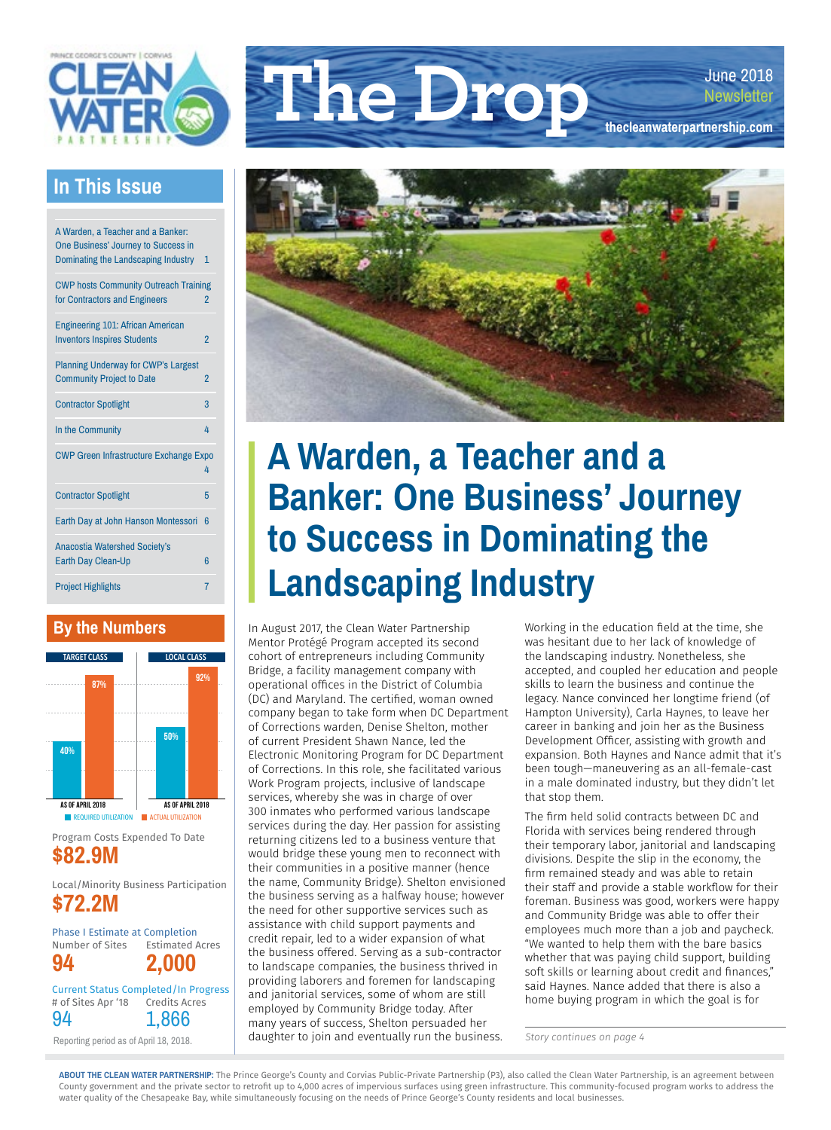

### **In This Issue**

| A Warden, a Teacher and a Banker:<br>One Business' Journey to Success in<br>Dominating the Landscaping Industry | 1                        |
|-----------------------------------------------------------------------------------------------------------------|--------------------------|
| <b>CWP hosts Community Outreach Training</b><br>for Contractors and Engineers                                   | $\overline{\phantom{a}}$ |
| <b>Engineering 101: African American</b><br><b>Inventors Inspires Students</b>                                  | $\overline{2}$           |
| <b>Planning Underway for CWP's Largest</b><br><b>Community Project to Date</b>                                  | $\overline{2}$           |
| <b>Contractor Spotlight</b>                                                                                     | 3                        |
| In the Community                                                                                                | 4                        |
| <b>CWP Green Infrastructure Exchange Expo</b><br>4                                                              |                          |
| <b>Contractor Spotlight</b>                                                                                     | 5                        |
| Earth Day at John Hanson Montessori                                                                             | 6                        |
| <b>Anacostia Watershed Society's</b>                                                                            |                          |
| <b>Earth Day Clean-Up</b>                                                                                       | 6                        |
| <b>Project Highlights</b>                                                                                       | 7                        |

### **By the Numbers**



Program Costs Expended To Date **\$82.9M**

Local/Minority Business Participation **\$72.2M**

Phase I Estimate at Completion Number of Sites **94** Estimated Acres **2,000** Current Status Completed/In Progress # of Sites Apr '18 94 Credits Acres 1,866

Reporting period as of April 18, 2018.





## **A Warden, a Teacher and a Banker: One Business' Journey to Success in Dominating the Landscaping Industry**

In August 2017, the Clean Water Partnership Mentor Protégé Program accepted its second cohort of entrepreneurs including Community Bridge, a facility management company with operational offices in the District of Columbia (DC) and Maryland. The certified, woman owned company began to take form when DC Department of Corrections warden, Denise Shelton, mother of current President Shawn Nance, led the Electronic Monitoring Program for DC Department of Corrections. In this role, she facilitated various Work Program projects, inclusive of landscape services, whereby she was in charge of over 300 inmates who performed various landscape services during the day. Her passion for assisting returning citizens led to a business venture that would bridge these young men to reconnect with their communities in a positive manner (hence the name, Community Bridge). Shelton envisioned the business serving as a halfway house; however the need for other supportive services such as assistance with child support payments and credit repair, led to a wider expansion of what the business offered. Serving as a sub-contractor to landscape companies, the business thrived in providing laborers and foremen for landscaping and janitorial services, some of whom are still employed by Community Bridge today. After many years of success, Shelton persuaded her daughter to join and eventually run the business.

Working in the education field at the time, she was hesitant due to her lack of knowledge of the landscaping industry. Nonetheless, she accepted, and coupled her education and people skills to learn the business and continue the legacy. Nance convinced her longtime friend (of Hampton University), Carla Haynes, to leave her career in banking and join her as the Business Development Officer, assisting with growth and expansion. Both Haynes and Nance admit that it's been tough—maneuvering as an all-female-cast in a male dominated industry, but they didn't let that stop them.

The firm held solid contracts between DC and Florida with services being rendered through their temporary labor, janitorial and landscaping divisions. Despite the slip in the economy, the firm remained steady and was able to retain their staff and provide a stable workflow for their foreman. Business was good, workers were happy and Community Bridge was able to offer their employees much more than a job and paycheck. "We wanted to help them with the bare basics whether that was paying child support, building soft skills or learning about credit and finances," said Haynes. Nance added that there is also a home buying program in which the goal is for

*Story continues on page 4*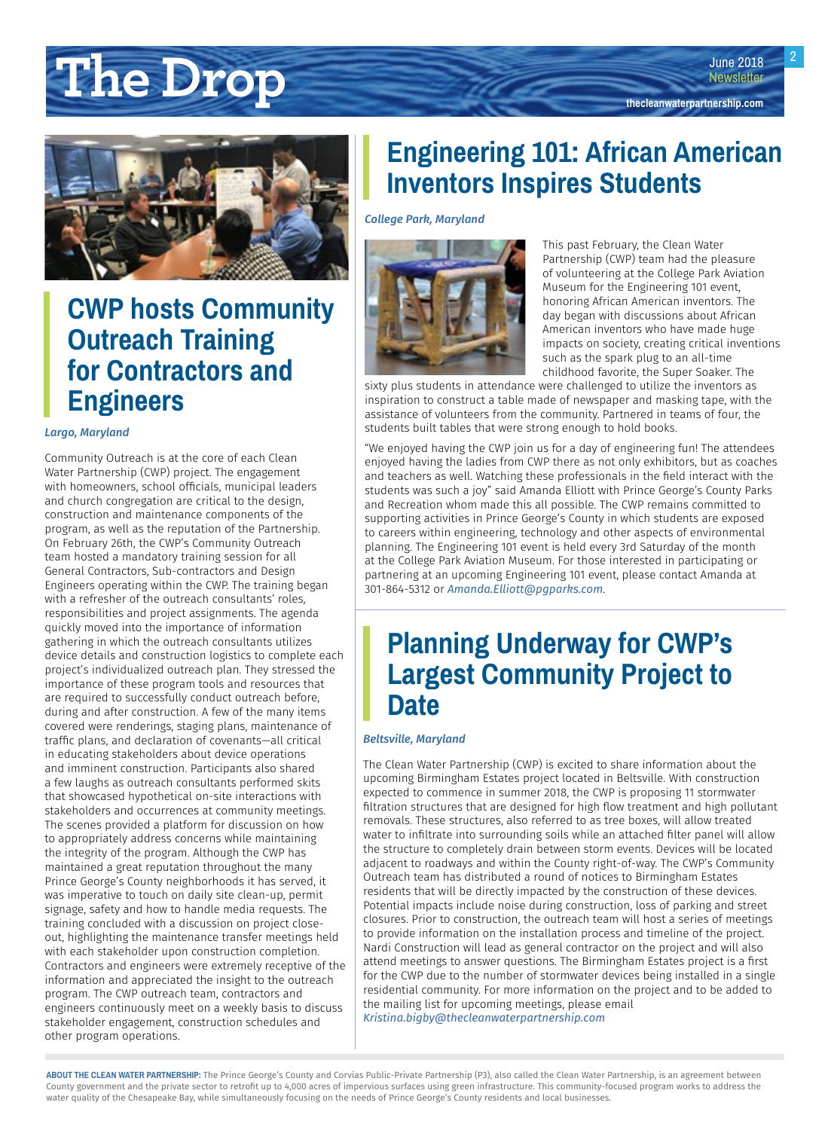# <span id="page-1-0"></span>**The Drop under the Class Newsletter newsletter**



## **CWP hosts Community Outreach Training for Contractors and Engineers**

#### *Largo, Maryland*

Community Outreach is at the core of each Clean Water Partnership (CWP) project. The engagement with homeowners, school officials, municipal leaders and church congregation are critical to the design, construction and maintenance components of the program, as well as the reputation of the Partnership. On February 26th, the CWP's Community Outreach team hosted a mandatory training session for all General Contractors, Sub-contractors and Design Engineers operating within the CWP. The training began with a refresher of the outreach consultants' roles, responsibilities and project assignments. The agenda quickly moved into the importance of information gathering in which the outreach consultants utilizes device details and construction logistics to complete each project's individualized outreach plan. They stressed the importance of these program tools and resources that are required to successfully conduct outreach before, during and after construction. A few of the many items covered were renderings, staging plans, maintenance of traffic plans, and declaration of covenants—all critical in educating stakeholders about device operations and imminent construction. Participants also shared a few laughs as outreach consultants performed skits that showcased hypothetical on-site interactions with stakeholders and occurrences at community meetings. The scenes provided a platform for discussion on how to appropriately address concerns while maintaining the integrity of the program. Although the CWP has maintained a great reputation throughout the many Prince George's County neighborhoods it has served, it was imperative to touch on daily site clean-up, permit signage, safety and how to handle media requests. The training concluded with a discussion on project closeout, highlighting the maintenance transfer meetings held with each stakeholder upon construction completion. Contractors and engineers were extremely receptive of the information and appreciated the insight to the outreach program. The CWP outreach team, contractors and engineers continuously meet on a weekly basis to discuss stakeholder engagement, construction schedules and other program operations.

## **Engineering 101: African American Inventors Inspires Students**

*College Park, Maryland* 



This past February, the Clean Water Partnership (CWP) team had the pleasure of volunteering at the College Park Aviation Museum for the Engineering 101 event, honoring African American inventors. The day began with discussions about African American inventors who have made huge impacts on society, creating critical inventions such as the spark plug to an all-time childhood favorite, the Super Soaker. The

sixty plus students in attendance were challenged to utilize the inventors as inspiration to construct a table made of newspaper and masking tape, with the assistance of volunteers from the community. Partnered in teams of four, the students built tables that were strong enough to hold books.

"We enjoyed having the CWP join us for a day of engineering fun! The attendees enjoyed having the ladies from CWP there as not only exhibitors, but as coaches and teachers as well. Watching these professionals in the field interact with the students was such a joy" said Amanda Elliott with Prince George's County Parks and Recreation whom made this all possible. The CWP remains committed to supporting activities in Prince George's County in which students are exposed to careers within engineering, technology and other aspects of environmental planning. The Engineering 101 event is held every 3rd Saturday of the month at the College Park Aviation Museum. For those interested in participating or partnering at an upcoming Engineering 101 event, please contact Amanda at 301-864-5312 or *[Amanda.Elliott@pgparks.com](mailto:Amanda.Elliott@pgparks.com)*.

### **Planning Underway for CWP's Largest Community Project to Date**

### *Beltsville, Maryland*

The Clean Water Partnership (CWP) is excited to share information about the upcoming Birmingham Estates project located in Beltsville. With construction expected to commence in summer 2018, the CWP is proposing 11 stormwater filtration structures that are designed for high flow treatment and high pollutant removals. These structures, also referred to as tree boxes, will allow treated water to infiltrate into surrounding soils while an attached filter panel will allow the structure to completely drain between storm events. Devices will be located adjacent to roadways and within the County right-of-way. The CWP's Community Outreach team has distributed a round of notices to Birmingham Estates residents that will be directly impacted by the construction of these devices. Potential impacts include noise during construction, loss of parking and street closures. Prior to construction, the outreach team will host a series of meetings to provide information on the installation process and timeline of the project. Nardi Construction will lead as general contractor on the project and will also attend meetings to answer questions. The Birmingham Estates project is a first for the CWP due to the number of stormwater devices being installed in a single residential community. For more information on the project and to be added to the mailing list for upcoming meetings, please email *[Kristina.bigby@thecleanwaterpartnership.com](mailto:Kristina.bigby@thecleanwaterpartnership.com)*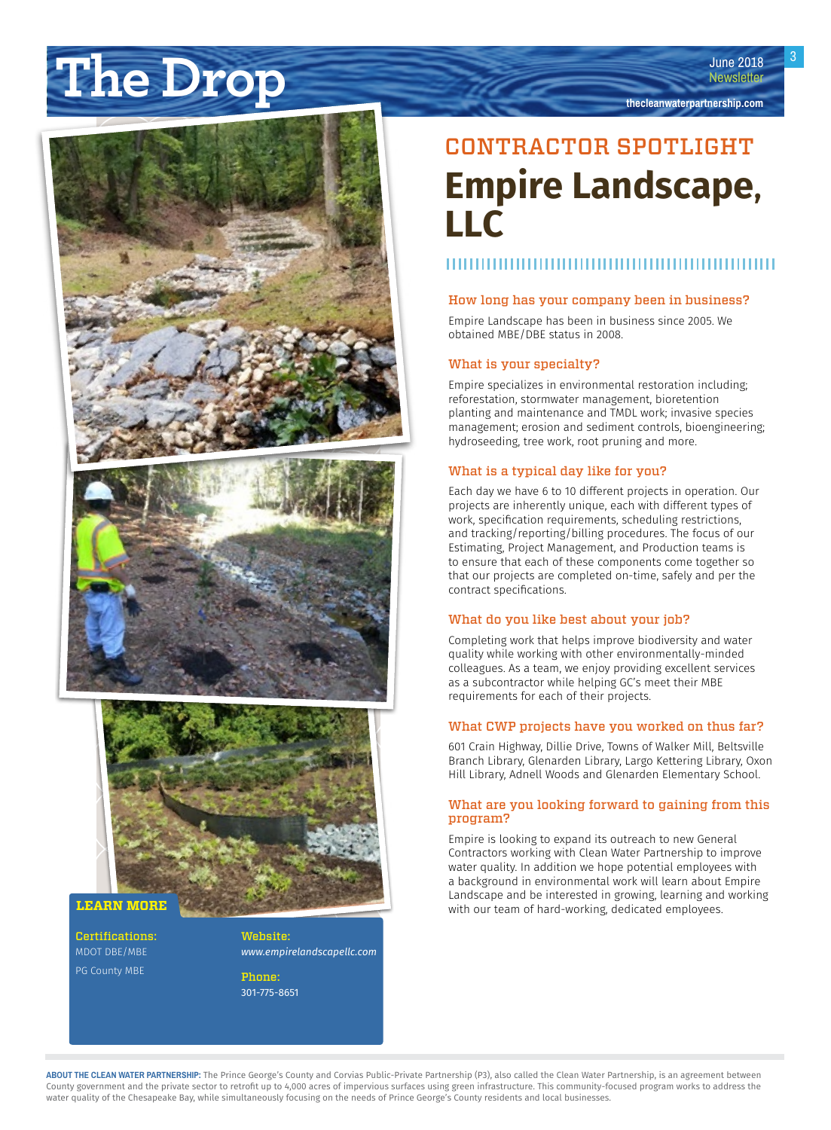# <span id="page-2-0"></span>**The Drop under the Drop the Drop the Drop the Drop the Drop the Drop the Drop the Drop the deanwaterpartnership.com**





### **LEARN MORE**

Certifications: MDOT DBE/MBE PG County MBE

Website: *[www.empirelandscapellc.com](http://www.envirenewinc.com)*

Phone: 301-775-8651

## CONTRACTOR SPOTLIGHT **Empire Landscape, LLC**

### How long has your company been in business?

Empire Landscape has been in business since 2005. We obtained MBE/DBE status in 2008.

### What is your specialty?

Empire specializes in environmental restoration including; reforestation, stormwater management, bioretention planting and maintenance and TMDL work; invasive species management; erosion and sediment controls, bioengineering; hydroseeding, tree work, root pruning and more.

### What is a typical day like for you?

Each day we have 6 to 10 different projects in operation. Our projects are inherently unique, each with different types of work, specification requirements, scheduling restrictions, and tracking/reporting/billing procedures. The focus of our Estimating, Project Management, and Production teams is to ensure that each of these components come together so that our projects are completed on-time, safely and per the contract specifications.

#### What do you like best about your job?

Completing work that helps improve biodiversity and water quality while working with other environmentally-minded colleagues. As a team, we enjoy providing excellent services as a subcontractor while helping GC's meet their MBE requirements for each of their projects.

#### What CWP projects have you worked on thus far?

601 Crain Highway, Dillie Drive, Towns of Walker Mill, Beltsville Branch Library, Glenarden Library, Largo Kettering Library, Oxon Hill Library, Adnell Woods and Glenarden Elementary School.

#### What are you looking forward to gaining from this program?

Empire is looking to expand its outreach to new General Contractors working with Clean Water Partnership to improve water quality. In addition we hope potential employees with a background in environmental work will learn about Empire Landscape and be interested in growing, learning and working with our team of hard-working, dedicated employees.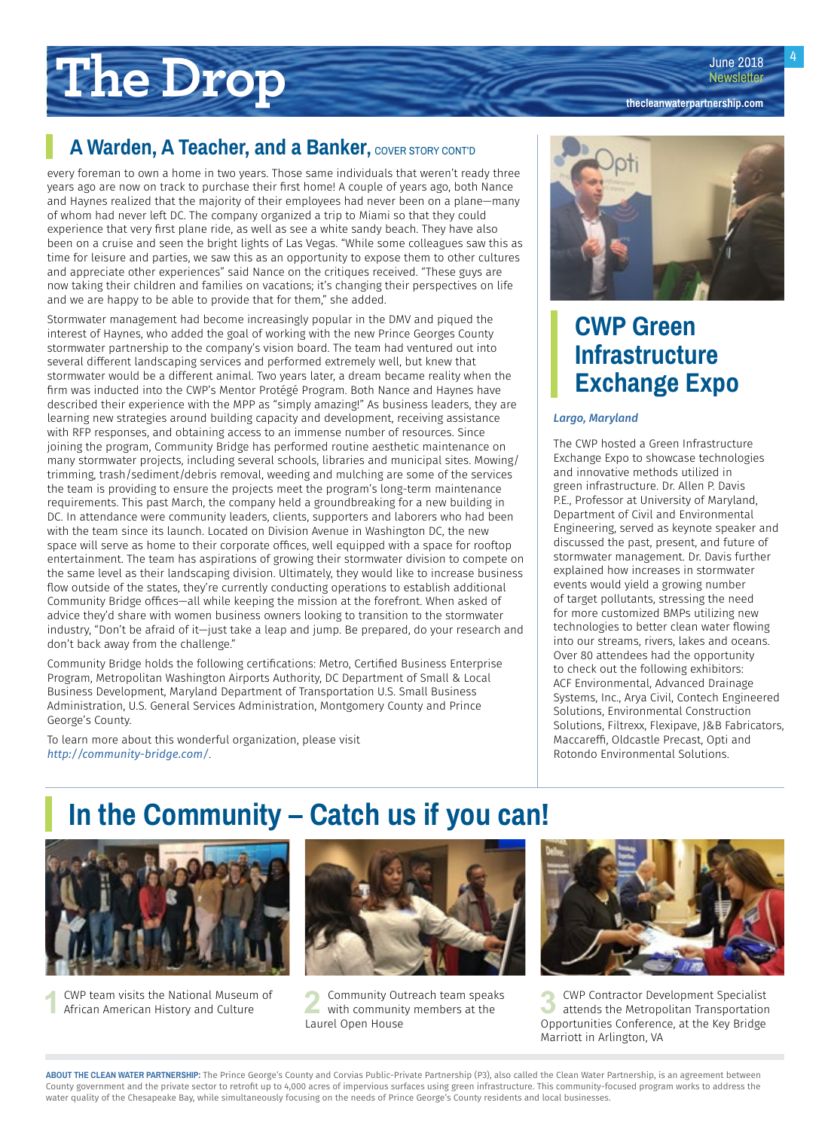# <span id="page-3-0"></span>**The Drop**

### **A Warden, A Teacher, and a Banker, COVER STORY CONT'D**

every foreman to own a home in two years. Those same individuals that weren't ready three years ago are now on track to purchase their first home! A couple of years ago, both Nance and Haynes realized that the majority of their employees had never been on a plane—many of whom had never left DC. The company organized a trip to Miami so that they could experience that very first plane ride, as well as see a white sandy beach. They have also been on a cruise and seen the bright lights of Las Vegas. "While some colleagues saw this as time for leisure and parties, we saw this as an opportunity to expose them to other cultures and appreciate other experiences" said Nance on the critiques received. "These guys are now taking their children and families on vacations; it's changing their perspectives on life and we are happy to be able to provide that for them," she added.

Stormwater management had become increasingly popular in the DMV and piqued the interest of Haynes, who added the goal of working with the new Prince Georges County stormwater partnership to the company's vision board. The team had ventured out into several different landscaping services and performed extremely well, but knew that stormwater would be a different animal. Two years later, a dream became reality when the firm was inducted into the CWP's Mentor Protégé Program. Both Nance and Haynes have described their experience with the MPP as "simply amazing!" As business leaders, they are learning new strategies around building capacity and development, receiving assistance with RFP responses, and obtaining access to an immense number of resources. Since joining the program, Community Bridge has performed routine aesthetic maintenance on many stormwater projects, including several schools, libraries and municipal sites. Mowing/ trimming, trash/sediment/debris removal, weeding and mulching are some of the services the team is providing to ensure the projects meet the program's long-term maintenance requirements. This past March, the company held a groundbreaking for a new building in DC. In attendance were community leaders, clients, supporters and laborers who had been with the team since its launch. Located on Division Avenue in Washington DC, the new space will serve as home to their corporate offices, well equipped with a space for rooftop entertainment. The team has aspirations of growing their stormwater division to compete on the same level as their landscaping division. Ultimately, they would like to increase business flow outside of the states, they're currently conducting operations to establish additional Community Bridge offices—all while keeping the mission at the forefront. When asked of advice they'd share with women business owners looking to transition to the stormwater industry, "Don't be afraid of it—just take a leap and jump. Be prepared, do your research and don't back away from the challenge."

Community Bridge holds the following certifications: Metro, Certified Business Enterprise Program, Metropolitan Washington Airports Authority, DC Department of Small & Local Business Development, Maryland Department of Transportation U.S. Small Business Administration, U.S. General Services Administration, Montgomery County and Prince George's County.

To learn more about this wonderful organization, please visit *<http://community-bridge.com/>*.



## **CWP Green Infrastructure Exchange Expo**

### *Largo, Maryland*

The CWP hosted a Green Infrastructure Exchange Expo to showcase technologies and innovative methods utilized in green infrastructure. Dr. Allen P. Davis P.E., Professor at University of Maryland, Department of Civil and Environmental Engineering, served as keynote speaker and discussed the past, present, and future of stormwater management. Dr. Davis further explained how increases in stormwater events would yield a growing number of target pollutants, stressing the need for more customized BMPs utilizing new technologies to better clean water flowing into our streams, rivers, lakes and oceans. Over 80 attendees had the opportunity to check out the following exhibitors: ACF Environmental, Advanced Drainage Systems, Inc., Arya Civil, Contech Engineered Solutions, Environmental Construction Solutions, Filtrexx, Flexipave, J&B Fabricators, Maccareffi, Oldcastle Precast, Opti and Rotondo Environmental Solutions.

## **In the Community – Catch us if you can!**





**1** CWP team visits the National Museum of **2** Community Outreach team speaks African American History and Culture **2 2** Community Members at the with community members at the Laurel Open House



**3** CWP Contractor Development Specialist<br>
attends the Metropolitan Transportation<br> **Actualistical Configuration** Opportunities Conference, at the Key Bridge Marriott in Arlington, VA

**ABOUT THE CLEAN WATER PARTNERSHIP:** The Prince George's County and Corvias Public-Private Partnership (P3), also called the Clean Water Partnership, is an agreement between County government and the private sector to retrofit up to 4,000 acres of impervious surfaces using green infrastructure. This community-focused program works to address the water quality of the Chesapeake Bay, while simultaneously focusing on the needs of Prince George's County residents and local businesses.

June 2018 **Newsletter** 

**[thecleanwaterpartnership.com](http://thecleanwaterpartnership.com)**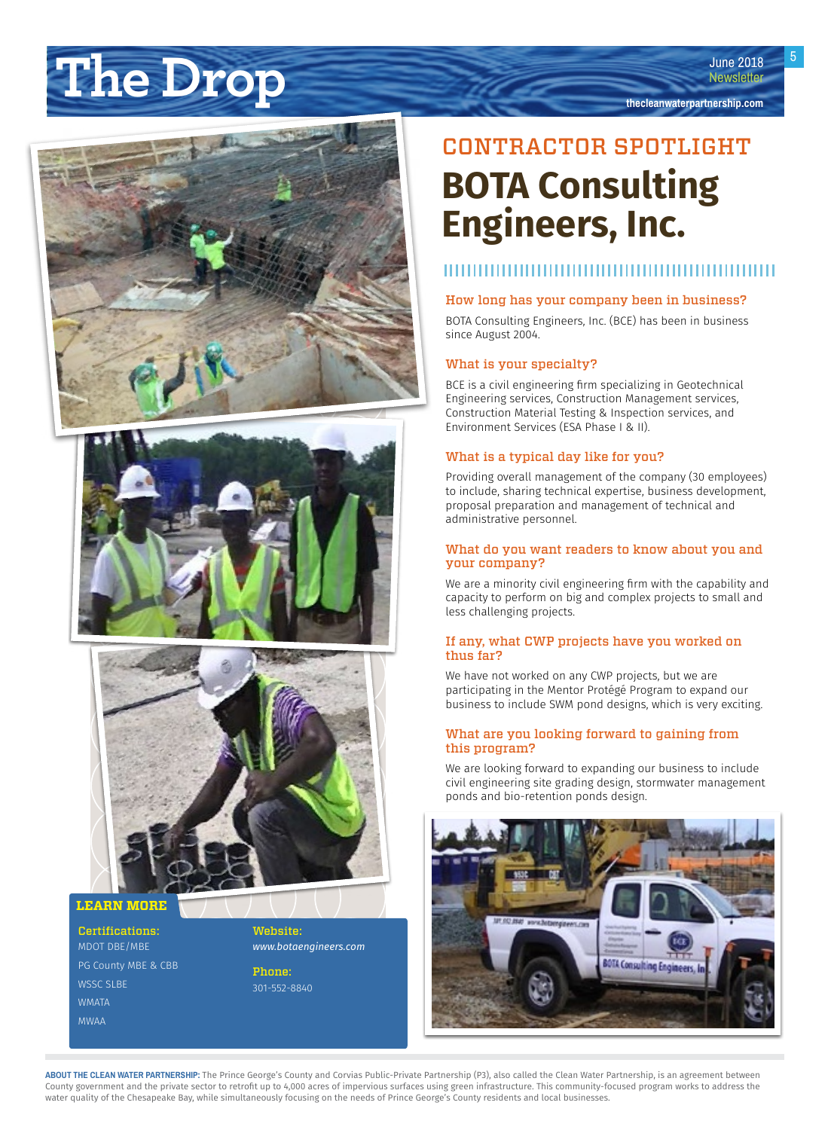# <span id="page-4-0"></span>**The Drop under the Drop the Drop the Drop the Drop the Drop the Drop the Drop the Drop the Drop the deal waterpartnership.com**







**LEARN MORE** 

Certifications: MDOT DBE/MBE PG County MBE & CBB WSSC SLBE WMATA MWAA

Website: *[www.botaengineers.com](http://www.botaengineers.com)*

Phone: 301-552-8840

## CONTRACTOR SPOTLIGHT **BOTA Consulting Engineers, Inc.**

**June 2018** 

### ,,,,,,,,,,,,,,,,,,,,,,,,

### How long has your company been in business?

BOTA Consulting Engineers, Inc. (BCE) has been in business since August 2004.

### What is your specialty?

BCE is a civil engineering firm specializing in Geotechnical Engineering services, Construction Management services, Construction Material Testing & Inspection services, and Environment Services (ESA Phase I & II).

### What is a typical day like for you?

Providing overall management of the company (30 employees) to include, sharing technical expertise, business development, proposal preparation and management of technical and administrative personnel.

#### What do you want readers to know about you and your company?

We are a minority civil engineering firm with the capability and capacity to perform on big and complex projects to small and less challenging projects.

#### If any, what CWP projects have you worked on thus far?

We have not worked on any CWP projects, but we are participating in the Mentor Protégé Program to expand our business to include SWM pond designs, which is very exciting.

### What are you looking forward to gaining from this program?

We are looking forward to expanding our business to include civil engineering site grading design, stormwater management ponds and bio-retention ponds design.

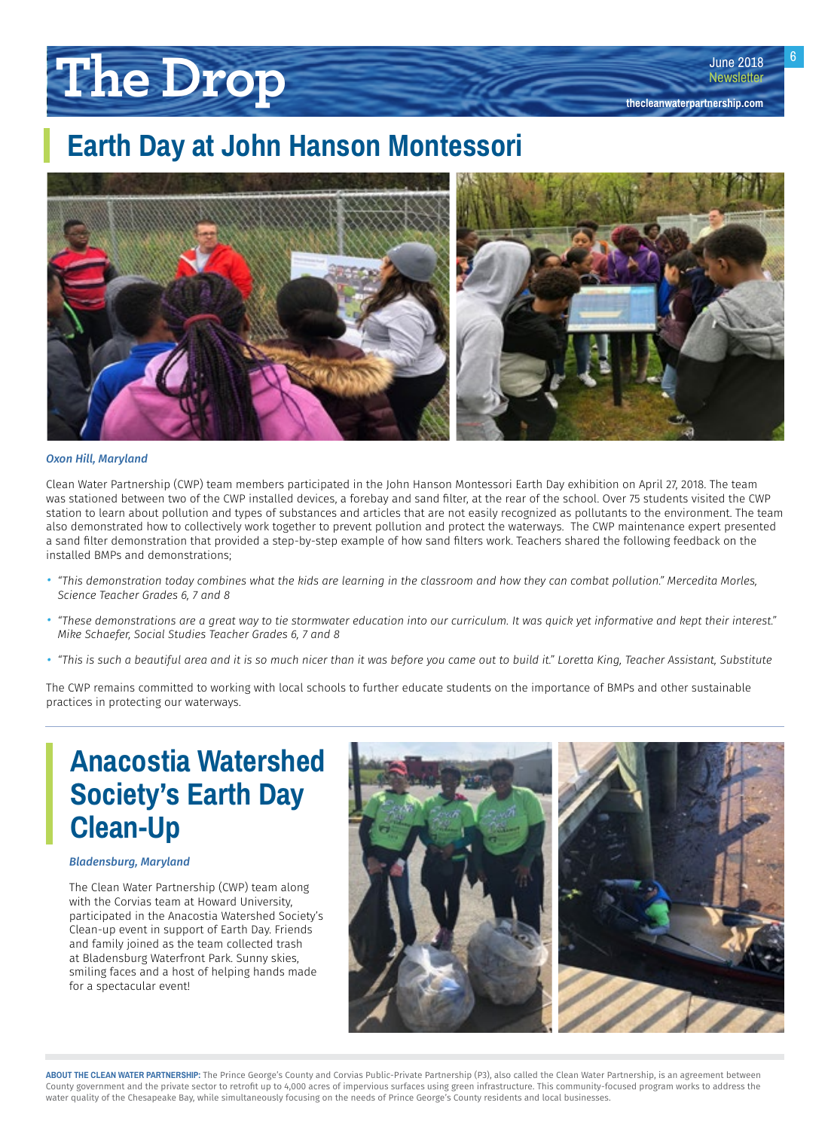# <span id="page-5-0"></span>**The Drop**



#### *Oxon Hill, Maryland*

Clean Water Partnership (CWP) team members participated in the John Hanson Montessori Earth Day exhibition on April 27, 2018. The team was stationed between two of the CWP installed devices, a forebay and sand filter, at the rear of the school. Over 75 students visited the CWP station to learn about pollution and types of substances and articles that are not easily recognized as pollutants to the environment. The team also demonstrated how to collectively work together to prevent pollution and protect the waterways. The CWP maintenance expert presented a sand filter demonstration that provided a step-by-step example of how sand filters work. Teachers shared the following feedback on the installed BMPs and demonstrations;

- *• "This demonstration today combines what the kids are learning in the classroom and how they can combat pollution." Mercedita Morles, Science Teacher Grades 6, 7 and 8*
- *• "These demonstrations are a great way to tie stormwater education into our curriculum. It was quick yet informative and kept their interest." Mike Schaefer, Social Studies Teacher Grades 6, 7 and 8*
- *• "This is such a beautiful area and it is so much nicer than it was before you came out to build it." Loretta King, Teacher Assistant, Substitute*

The CWP remains committed to working with local schools to further educate students on the importance of BMPs and other sustainable practices in protecting our waterways.

## **Anacostia Watershed Society's Earth Day Clean-Up**

### *Bladensburg, Maryland*

The Clean Water Partnership (CWP) team along with the Corvias team at Howard University, participated in the Anacostia Watershed Society's Clean-up event in support of Earth Day. Friends and family joined as the team collected trash at Bladensburg Waterfront Park. Sunny skies, smiling faces and a host of helping hands made for a spectacular event!



6

June 2018 **Newsletter** 

**[thecleanwaterpartnership.com](http://thecleanwaterpartnership.com)**